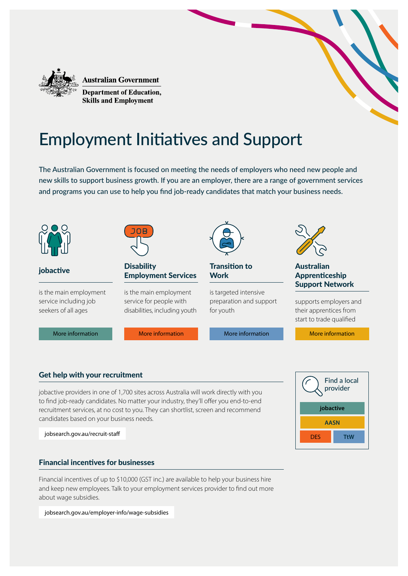

**Australian Government** 

**Department of Education, Skills and Employment** 

# Employment Initiatives and Support

The Australian Government is focused on meeting the needs of employers who need new people and new skills to support business growth. If you are an employer, there are a range of government services and programs you can use to help you find job-ready candidates that match your business needs.



# Get help with your recruitment

jobactive providers in one of 1,700 sites across Australia will work directly with you to find job-ready candidates. No matter your industry, they'll offer you end-to-end recruitment services, at no cost to you. They can shortlist, screen and recommend candidates based on your business needs.

[jobsearch.gov.au/recruit-staff](https://jobsearch.gov.au/recruit-staff)

## Financial incentives for businesses

Financial incentives of up to \$10,000 (GST inc.) are available to help your business hire and keep new employees. Talk to your employment services provider to find out more about wage subsidies.

[jobsearch.gov.au/employer-info/wage-subsidies](https://jobsearch.gov.au/employer-info/wage-subsidies)